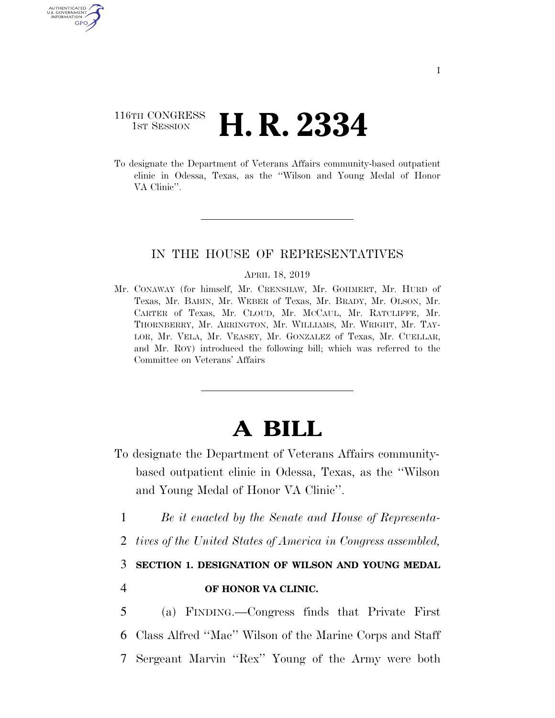# 116TH CONGRESS **1st Session H. R. 2334**

AUTHENTICATED U.S. GOVERNMENT GPO

> To designate the Department of Veterans Affairs community-based outpatient clinic in Odessa, Texas, as the ''Wilson and Young Medal of Honor VA Clinic''.

## IN THE HOUSE OF REPRESENTATIVES

#### APRIL 18, 2019

Mr. CONAWAY (for himself, Mr. CRENSHAW, Mr. GOHMERT, Mr. HURD of Texas, Mr. BABIN, Mr. WEBER of Texas, Mr. BRADY, Mr. OLSON, Mr. CARTER of Texas, Mr. CLOUD, Mr. MCCAUL, Mr. RATCLIFFE, Mr. THORNBERRY, Mr. ARRINGTON, Mr. WILLIAMS, Mr. WRIGHT, Mr. TAY-LOR, Mr. VELA, Mr. VEASEY, Mr. GONZALEZ of Texas, Mr. CUELLAR, and Mr. ROY) introduced the following bill; which was referred to the Committee on Veterans' Affairs

# **A BILL**

- To designate the Department of Veterans Affairs communitybased outpatient clinic in Odessa, Texas, as the ''Wilson and Young Medal of Honor VA Clinic''.
	- 1 *Be it enacted by the Senate and House of Representa-*
- 2 *tives of the United States of America in Congress assembled,*

3 **SECTION 1. DESIGNATION OF WILSON AND YOUNG MEDAL** 

### 4 **OF HONOR VA CLINIC.**

5 (a) FINDING.—Congress finds that Private First 6 Class Alfred ''Mac'' Wilson of the Marine Corps and Staff 7 Sergeant Marvin ''Rex'' Young of the Army were both